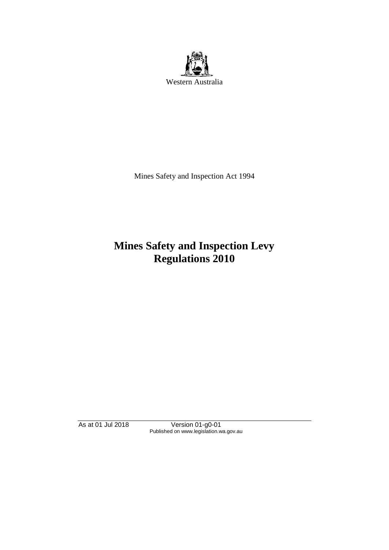

Mines Safety and Inspection Act 1994

# **Mines Safety and Inspection Levy Regulations 2010**

As at 01 Jul 2018 Version 01-g0-01 Published on www.legislation.wa.gov.au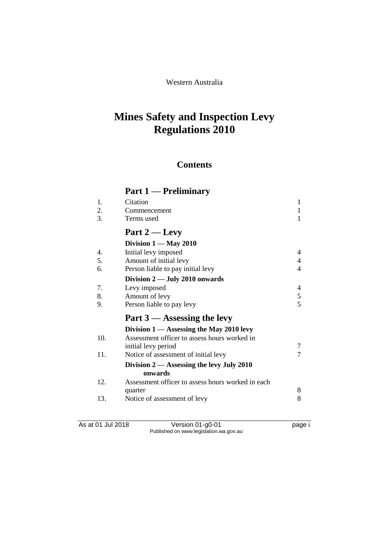### Western Australia

# **Mines Safety and Inspection Levy Regulations 2010**

## **Contents**

# **Part 1 — Preliminary**

| 1.  | Citation                                          | 1              |
|-----|---------------------------------------------------|----------------|
| 2.  | Commencement                                      | 1              |
| 3.  | Terms used                                        | 1              |
|     | Part $2$ — Levy                                   |                |
|     | Division $1 -$ May 2010                           |                |
| 4.  | Initial levy imposed                              | 4              |
| 5.  | Amount of initial levy                            | 4              |
| 6.  | Person liable to pay initial levy                 | 4              |
|     | Division $2$ — July 2010 onwards                  |                |
| 7.  | Levy imposed                                      | 4              |
| 8.  | Amount of levy                                    | 5              |
| 9.  | Person liable to pay levy                         | $\overline{5}$ |
|     | Part $3$ — Assessing the levy                     |                |
|     | Division $1 -$ Assessing the May 2010 levy        |                |
| 10. | Assessment officer to assess hours worked in      |                |
|     | initial levy period                               | 7              |
| 11. | Notice of assessment of initial levy              |                |
|     | Division $2$ — Assessing the levy July 2010       |                |
|     | onwards                                           |                |
| 12. | Assessment officer to assess hours worked in each |                |
|     | quarter                                           | 8              |
| 13. | Notice of assessment of levy                      | 8              |
|     |                                                   |                |

As at 01 Jul 2018 Version 01-g0-01 page i Published on www.legislation.wa.gov.au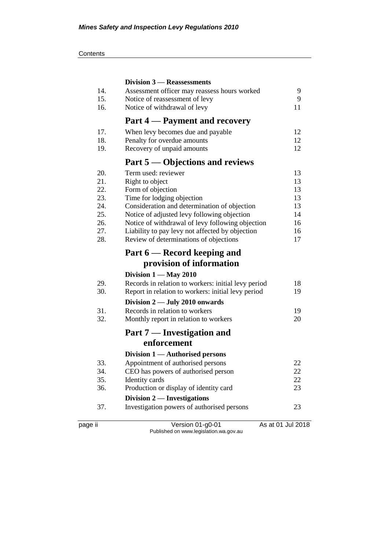#### **Contents**

|         | Division 3 – Reassessments                          |                   |
|---------|-----------------------------------------------------|-------------------|
| 14.     | Assessment officer may reassess hours worked        | 9                 |
| 15.     | Notice of reassessment of levy                      | 9                 |
| 16.     | Notice of withdrawal of levy                        | 11                |
|         | Part 4 – Payment and recovery                       |                   |
| 17.     | When levy becomes due and payable                   | 12                |
| 18.     | Penalty for overdue amounts                         | 12                |
| 19.     | Recovery of unpaid amounts                          | 12                |
|         | Part 5 — Objections and reviews                     |                   |
| 20.     | Term used: reviewer                                 | 13                |
| 21.     | Right to object                                     | 13                |
| 22.     | Form of objection                                   | 13                |
| 23.     | Time for lodging objection                          | 13                |
| 24.     | Consideration and determination of objection        | 13                |
| 25.     | Notice of adjusted levy following objection         | 14                |
| 26.     | Notice of withdrawal of levy following objection    | 16                |
| 27.     | Liability to pay levy not affected by objection     | 16                |
| 28.     | Review of determinations of objections              | 17                |
|         | Part 6 — Record keeping and                         |                   |
|         | provision of information                            |                   |
|         | Division $1 -$ May 2010                             |                   |
| 29.     | Records in relation to workers: initial levy period | 18                |
| 30.     | Report in relation to workers: initial levy period  | 19                |
|         | Division $2$ — July 2010 onwards                    |                   |
| 31.     | Records in relation to workers                      | 19                |
| 32.     | Monthly report in relation to workers               | 20                |
|         | <b>Part 7 — Investigation and</b>                   |                   |
|         | enforcement                                         |                   |
|         | Division 1 — Authorised persons                     |                   |
| 33.     | Appointment of authorised persons                   | 22                |
| 34.     | CEO has powers of authorised person                 | 22                |
| 35.     | Identity cards                                      | 22                |
| 36.     | Production or display of identity card              | 23                |
|         | Division $2$ — Investigations                       |                   |
| 37.     | Investigation powers of authorised persons          | 23                |
| page ii | Version 01-g0-01                                    | As at 01 Jul 2018 |
|         | Published on www.legislation.wa.gov.au              |                   |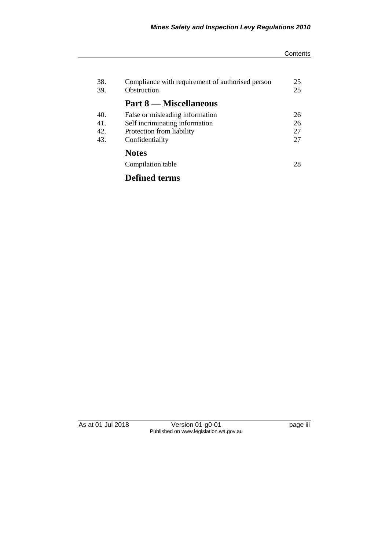#### **Contents**

| 38.<br>39. | Compliance with requirement of authorised person<br>Obstruction | 25<br>25 |
|------------|-----------------------------------------------------------------|----------|
|            | <b>Part 8 — Miscellaneous</b>                                   |          |
| 40.        | False or misleading information                                 | 26       |
| 41.        | Self incriminating information                                  | 26       |
| 42.        | Protection from liability                                       | 27       |
| 43.        | Confidentiality                                                 | 27       |
|            | <b>Notes</b>                                                    |          |
|            | Compilation table                                               | 28       |
|            | <b>Defined terms</b>                                            |          |

As at 01 Jul 2018 Version 01-g0-01 page iii Published on www.legislation.wa.gov.au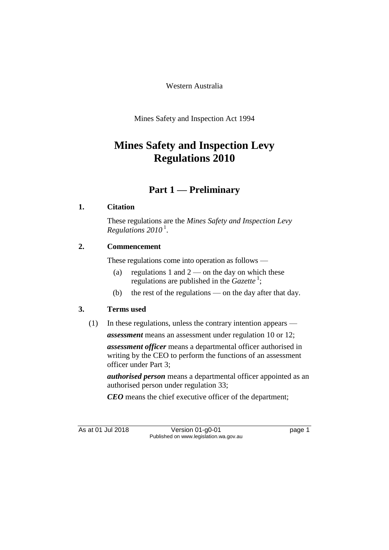Western Australia

Mines Safety and Inspection Act 1994

# **Mines Safety and Inspection Levy Regulations 2010**

## **Part 1 — Preliminary**

## **1. Citation**

These regulations are the *Mines Safety and Inspection Levy Regulations 2010* <sup>1</sup> .

## **2. Commencement**

These regulations come into operation as follows —

- (a) regulations 1 and  $2$  on the day on which these regulations are published in the *Gazette*<sup>1</sup>;
- (b) the rest of the regulations on the day after that day.

## **3. Terms used**

(1) In these regulations, unless the contrary intention appears —

*assessment* means an assessment under regulation 10 or 12;

*assessment officer* means a departmental officer authorised in writing by the CEO to perform the functions of an assessment officer under Part 3;

*authorised person* means a departmental officer appointed as an authorised person under regulation 33;

*CEO* means the chief executive officer of the department;

As at 01 Jul 2018 Version 01-g0-01 Page 1 Published on www.legislation.wa.gov.au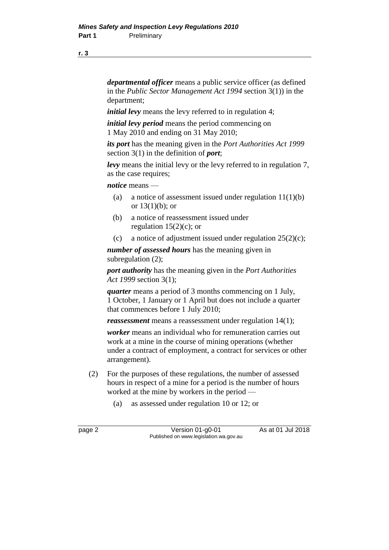**r. 3**

*departmental officer* means a public service officer (as defined in the *Public Sector Management Act 1994* section 3(1)) in the department;

*initial levy* means the levy referred to in regulation 4;

*initial levy period* means the period commencing on 1 May 2010 and ending on 31 May 2010;

*its port* has the meaning given in the *Port Authorities Act 1999* section 3(1) in the definition of *port*;

*levy* means the initial levy or the levy referred to in regulation 7, as the case requires;

*notice* means —

- (a) a notice of assessment issued under regulation  $11(1)(b)$ or  $13(1)(b)$ ; or
- (b) a notice of reassessment issued under regulation  $15(2)(c)$ ; or
- (c) a notice of adjustment issued under regulation  $25(2)(c)$ ;

*number of assessed hours* has the meaning given in subregulation (2);

*port authority* has the meaning given in the *Port Authorities Act 1999* section 3(1);

*quarter* means a period of 3 months commencing on 1 July, 1 October, 1 January or 1 April but does not include a quarter that commences before 1 July 2010;

*reassessment* means a reassessment under regulation 14(1);

*worker* means an individual who for remuneration carries out work at a mine in the course of mining operations (whether under a contract of employment, a contract for services or other arrangement).

- (2) For the purposes of these regulations, the number of assessed hours in respect of a mine for a period is the number of hours worked at the mine by workers in the period —
	- (a) as assessed under regulation 10 or 12; or

page 2 Version 01-g0-01 As at 01 Jul 2018 Published on www.legislation.wa.gov.au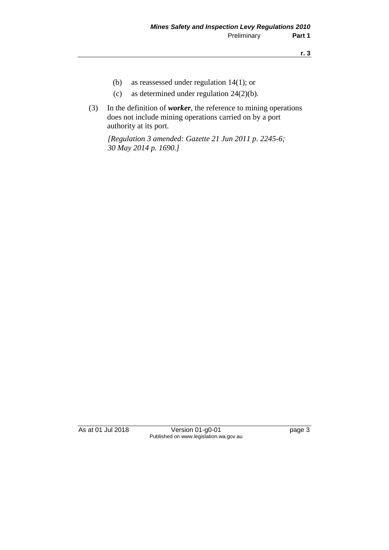- (b) as reassessed under regulation 14(1); or
- (c) as determined under regulation 24(2)(b).
- (3) In the definition of *worker*, the reference to mining operations does not include mining operations carried on by a port authority at its port.

*[Regulation 3 amended: Gazette 21 Jun 2011 p. 2245-6; 30 May 2014 p. 1690.]*

As at 01 Jul 2018 Version 01-g0-01 page 3 Published on www.legislation.wa.gov.au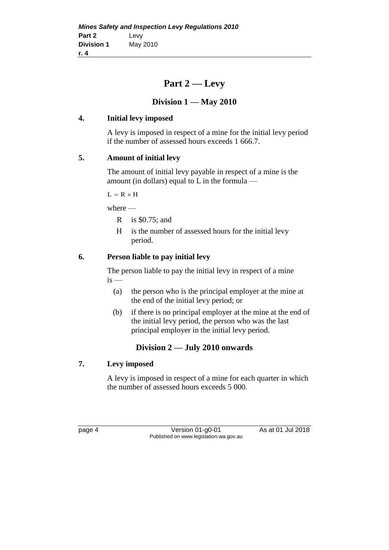## **Part 2 — Levy**

## **Division 1 — May 2010**

## **4. Initial levy imposed**

A levy is imposed in respect of a mine for the initial levy period if the number of assessed hours exceeds 1 666.7.

## **5. Amount of initial levy**

The amount of initial levy payable in respect of a mine is the amount (in dollars) equal to L in the formula —

 $L = R \times H$ 

where —

- R is \$0.75; and
- H is the number of assessed hours for the initial levy period.

## **6. Person liable to pay initial levy**

The person liable to pay the initial levy in respect of a mine  $is$  —

- (a) the person who is the principal employer at the mine at the end of the initial levy period; or
- (b) if there is no principal employer at the mine at the end of the initial levy period, the person who was the last principal employer in the initial levy period.

## **Division 2 — July 2010 onwards**

### **7. Levy imposed**

A levy is imposed in respect of a mine for each quarter in which the number of assessed hours exceeds 5 000.

page 4 Version 01-g0-01 As at 01 Jul 2018 Published on www.legislation.wa.gov.au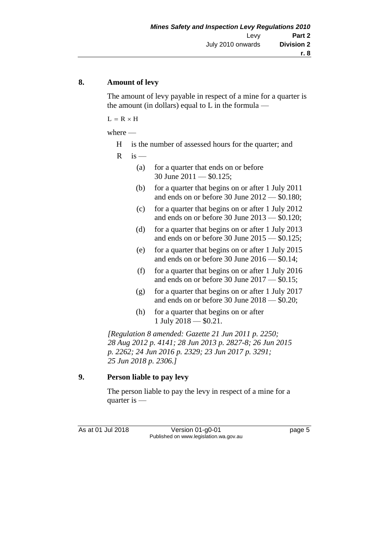#### **8. Amount of levy**

The amount of levy payable in respect of a mine for a quarter is the amount (in dollars) equal to  $L$  in the formula —

 $L = R \times H$ 

where —

H is the number of assessed hours for the quarter; and

 $R$  is —

- (a) for a quarter that ends on or before 30 June 2011 — \$0.125;
- (b) for a quarter that begins on or after 1 July 2011 and ends on or before 30 June 2012 — \$0.180;
- (c) for a quarter that begins on or after 1 July 2012 and ends on or before 30 June 2013 — \$0.120;
- (d) for a quarter that begins on or after 1 July 2013 and ends on or before 30 June 2015 — \$0.125;
- (e) for a quarter that begins on or after 1 July 2015 and ends on or before 30 June 2016 — \$0.14;
- (f) for a quarter that begins on or after 1 July 2016 and ends on or before 30 June  $2017 - 0.15$ ;
- (g) for a quarter that begins on or after 1 July 2017 and ends on or before 30 June 2018 — \$0.20;
- (h) for a quarter that begins on or after 1 July 2018 — \$0.21.

*[Regulation 8 amended: Gazette 21 Jun 2011 p. 2250; 28 Aug 2012 p. 4141; 28 Jun 2013 p. 2827-8; 26 Jun 2015 p. 2262; 24 Jun 2016 p. 2329; 23 Jun 2017 p. 3291; 25 Jun 2018 p. 2306.]*

#### **9. Person liable to pay levy**

The person liable to pay the levy in respect of a mine for a quarter is —

As at 01 Jul 2018 Version 01-g0-01 Page 5 Published on www.legislation.wa.gov.au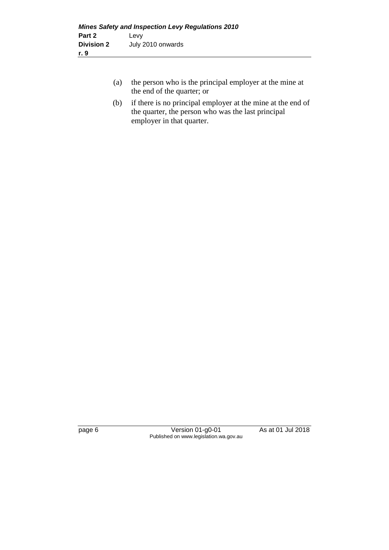- (a) the person who is the principal employer at the mine at the end of the quarter; or
- (b) if there is no principal employer at the mine at the end of the quarter, the person who was the last principal employer in that quarter.

page 6 Version 01-g0-01 As at 01 Jul 2018 Published on www.legislation.wa.gov.au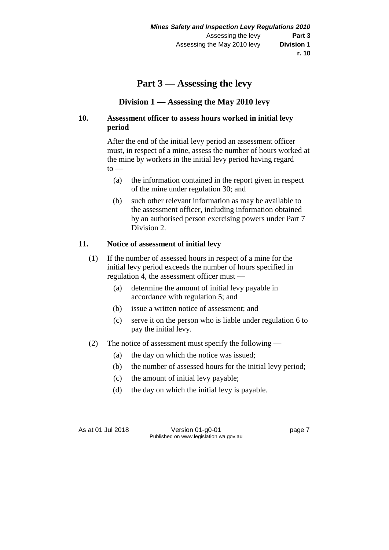## **Part 3 — Assessing the levy**

## **Division 1 — Assessing the May 2010 levy**

#### **10. Assessment officer to assess hours worked in initial levy period**

After the end of the initial levy period an assessment officer must, in respect of a mine, assess the number of hours worked at the mine by workers in the initial levy period having regard  $to$ —

- (a) the information contained in the report given in respect of the mine under regulation 30; and
- (b) such other relevant information as may be available to the assessment officer, including information obtained by an authorised person exercising powers under Part 7 Division 2.

### **11. Notice of assessment of initial levy**

- (1) If the number of assessed hours in respect of a mine for the initial levy period exceeds the number of hours specified in regulation 4, the assessment officer must —
	- (a) determine the amount of initial levy payable in accordance with regulation 5; and
	- (b) issue a written notice of assessment; and
	- (c) serve it on the person who is liable under regulation 6 to pay the initial levy.
- (2) The notice of assessment must specify the following
	- (a) the day on which the notice was issued;
	- (b) the number of assessed hours for the initial levy period;
	- (c) the amount of initial levy payable;
	- (d) the day on which the initial levy is payable.

As at 01 Jul 2018 Version 01-g0-01 Page 7 Published on www.legislation.wa.gov.au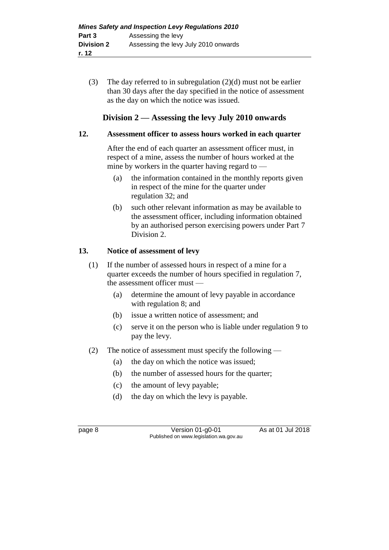(3) The day referred to in subregulation (2)(d) must not be earlier than 30 days after the day specified in the notice of assessment as the day on which the notice was issued.

## **Division 2 — Assessing the levy July 2010 onwards**

### **12. Assessment officer to assess hours worked in each quarter**

After the end of each quarter an assessment officer must, in respect of a mine, assess the number of hours worked at the mine by workers in the quarter having regard to  $-$ 

- (a) the information contained in the monthly reports given in respect of the mine for the quarter under regulation 32; and
- (b) such other relevant information as may be available to the assessment officer, including information obtained by an authorised person exercising powers under Part 7 Division 2.

## **13. Notice of assessment of levy**

- (1) If the number of assessed hours in respect of a mine for a quarter exceeds the number of hours specified in regulation 7, the assessment officer must —
	- (a) determine the amount of levy payable in accordance with regulation 8; and
	- (b) issue a written notice of assessment; and
	- (c) serve it on the person who is liable under regulation 9 to pay the levy.
- (2) The notice of assessment must specify the following
	- (a) the day on which the notice was issued;
	- (b) the number of assessed hours for the quarter;
	- (c) the amount of levy payable;
	- (d) the day on which the levy is payable.

page 8 Version 01-g0-01 As at 01 Jul 2018 Published on www.legislation.wa.gov.au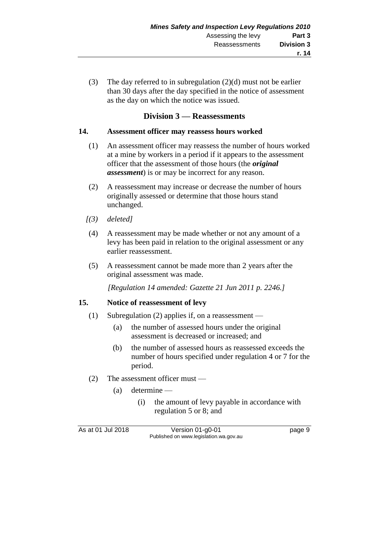(3) The day referred to in subregulation (2)(d) must not be earlier than 30 days after the day specified in the notice of assessment as the day on which the notice was issued.

#### **Division 3 — Reassessments**

#### **14. Assessment officer may reassess hours worked**

- (1) An assessment officer may reassess the number of hours worked at a mine by workers in a period if it appears to the assessment officer that the assessment of those hours (the *original assessment*) is or may be incorrect for any reason.
- (2) A reassessment may increase or decrease the number of hours originally assessed or determine that those hours stand unchanged.
- *[(3) deleted]*
- (4) A reassessment may be made whether or not any amount of a levy has been paid in relation to the original assessment or any earlier reassessment.
- (5) A reassessment cannot be made more than 2 years after the original assessment was made.

*[Regulation 14 amended: Gazette 21 Jun 2011 p. 2246.]*

#### **15. Notice of reassessment of levy**

- (1) Subregulation (2) applies if, on a reassessment
	- (a) the number of assessed hours under the original assessment is decreased or increased; and
	- (b) the number of assessed hours as reassessed exceeds the number of hours specified under regulation 4 or 7 for the period.
- (2) The assessment officer must
	- (a) determine
		- (i) the amount of levy payable in accordance with regulation 5 or 8; and

As at 01 Jul 2018 Version 01-g0-01 Page 9 Published on www.legislation.wa.gov.au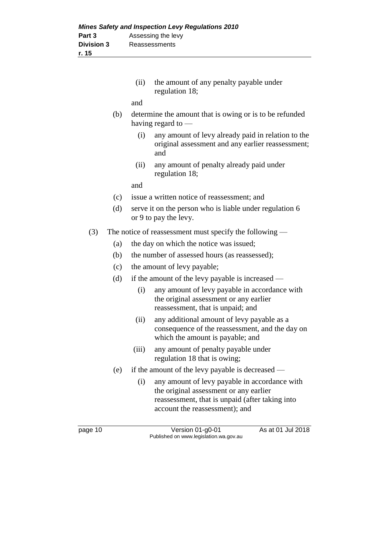| (ii) | the amount of any penalty payable under |
|------|-----------------------------------------|
|      | regulation 18;                          |

and

- (b) determine the amount that is owing or is to be refunded having regard to —
	- (i) any amount of levy already paid in relation to the original assessment and any earlier reassessment; and
	- (ii) any amount of penalty already paid under regulation 18;

and

- (c) issue a written notice of reassessment; and
- (d) serve it on the person who is liable under regulation 6 or 9 to pay the levy.
- (3) The notice of reassessment must specify the following
	- (a) the day on which the notice was issued;
	- (b) the number of assessed hours (as reassessed);
	- (c) the amount of levy payable;
	- (d) if the amount of the levy payable is increased
		- (i) any amount of levy payable in accordance with the original assessment or any earlier reassessment, that is unpaid; and
		- (ii) any additional amount of levy payable as a consequence of the reassessment, and the day on which the amount is payable; and
		- (iii) any amount of penalty payable under regulation 18 that is owing;
	- (e) if the amount of the levy payable is decreased
		- (i) any amount of levy payable in accordance with the original assessment or any earlier reassessment, that is unpaid (after taking into account the reassessment); and

page 10 Version 01-g0-01 As at 01 Jul 2018 Published on www.legislation.wa.gov.au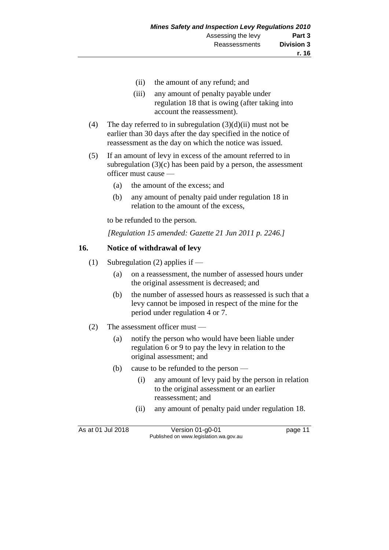- (ii) the amount of any refund; and
- (iii) any amount of penalty payable under regulation 18 that is owing (after taking into account the reassessment).
- (4) The day referred to in subregulation  $(3)(d)(ii)$  must not be earlier than 30 days after the day specified in the notice of reassessment as the day on which the notice was issued.
- (5) If an amount of levy in excess of the amount referred to in subregulation  $(3)(c)$  has been paid by a person, the assessment officer must cause —
	- (a) the amount of the excess; and
	- (b) any amount of penalty paid under regulation 18 in relation to the amount of the excess,

to be refunded to the person.

*[Regulation 15 amended: Gazette 21 Jun 2011 p. 2246.]*

#### **16. Notice of withdrawal of levy**

- (1) Subregulation (2) applies if
	- (a) on a reassessment, the number of assessed hours under the original assessment is decreased; and
	- (b) the number of assessed hours as reassessed is such that a levy cannot be imposed in respect of the mine for the period under regulation 4 or 7.
- (2) The assessment officer must
	- (a) notify the person who would have been liable under regulation 6 or 9 to pay the levy in relation to the original assessment; and
	- (b) cause to be refunded to the person
		- (i) any amount of levy paid by the person in relation to the original assessment or an earlier reassessment; and
		- (ii) any amount of penalty paid under regulation 18.

As at 01 Jul 2018 Version 01-g0-01 Page 11 Published on www.legislation.wa.gov.au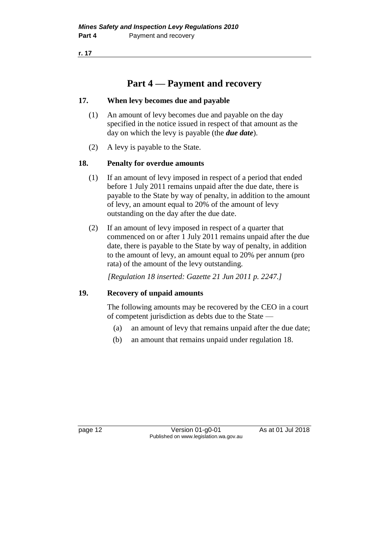**r. 17**

## **Part 4 — Payment and recovery**

#### **17. When levy becomes due and payable**

- (1) An amount of levy becomes due and payable on the day specified in the notice issued in respect of that amount as the day on which the levy is payable (the *due date*).
- (2) A levy is payable to the State.

#### **18. Penalty for overdue amounts**

- (1) If an amount of levy imposed in respect of a period that ended before 1 July 2011 remains unpaid after the due date, there is payable to the State by way of penalty, in addition to the amount of levy, an amount equal to 20% of the amount of levy outstanding on the day after the due date.
- (2) If an amount of levy imposed in respect of a quarter that commenced on or after 1 July 2011 remains unpaid after the due date, there is payable to the State by way of penalty, in addition to the amount of levy, an amount equal to 20% per annum (pro rata) of the amount of the levy outstanding.

*[Regulation 18 inserted: Gazette 21 Jun 2011 p. 2247.]*

#### **19. Recovery of unpaid amounts**

The following amounts may be recovered by the CEO in a court of competent jurisdiction as debts due to the State —

- (a) an amount of levy that remains unpaid after the due date;
- (b) an amount that remains unpaid under regulation 18.

page 12 Version 01-g0-01 As at 01 Jul 2018 Published on www.legislation.wa.gov.au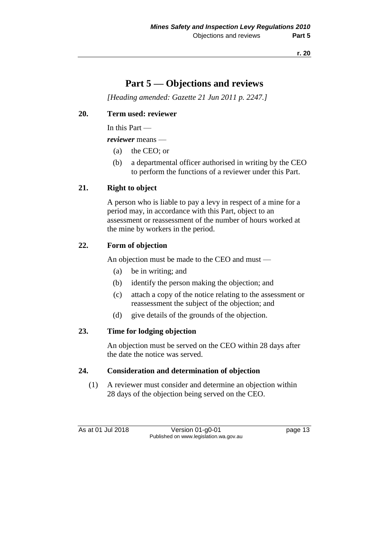## **Part 5 — Objections and reviews**

*[Heading amended: Gazette 21 Jun 2011 p. 2247.]*

#### **20. Term used: reviewer**

In this Part —

*reviewer* means —

- (a) the CEO; or
- (b) a departmental officer authorised in writing by the CEO to perform the functions of a reviewer under this Part.

#### **21. Right to object**

A person who is liable to pay a levy in respect of a mine for a period may, in accordance with this Part, object to an assessment or reassessment of the number of hours worked at the mine by workers in the period.

### **22. Form of objection**

An objection must be made to the CEO and must —

- (a) be in writing; and
- (b) identify the person making the objection; and
- (c) attach a copy of the notice relating to the assessment or reassessment the subject of the objection; and
- (d) give details of the grounds of the objection.

### **23. Time for lodging objection**

An objection must be served on the CEO within 28 days after the date the notice was served.

#### **24. Consideration and determination of objection**

(1) A reviewer must consider and determine an objection within 28 days of the objection being served on the CEO.

As at 01 Jul 2018 Version 01-g0-01 Page 13 Published on www.legislation.wa.gov.au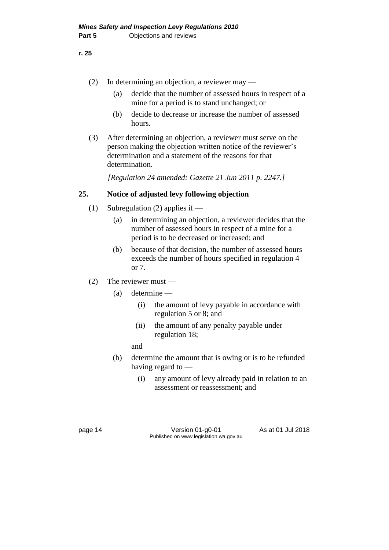- (2) In determining an objection, a reviewer may
	- (a) decide that the number of assessed hours in respect of a mine for a period is to stand unchanged; or
	- (b) decide to decrease or increase the number of assessed hours.
- (3) After determining an objection, a reviewer must serve on the person making the objection written notice of the reviewer's determination and a statement of the reasons for that determination.

*[Regulation 24 amended: Gazette 21 Jun 2011 p. 2247.]*

#### **25. Notice of adjusted levy following objection**

- (1) Subregulation (2) applies if
	- (a) in determining an objection, a reviewer decides that the number of assessed hours in respect of a mine for a period is to be decreased or increased; and
	- (b) because of that decision, the number of assessed hours exceeds the number of hours specified in regulation 4 or 7.
- (2) The reviewer must
	- (a) determine
		- (i) the amount of levy payable in accordance with regulation 5 or 8; and
		- (ii) the amount of any penalty payable under regulation 18;

and

- (b) determine the amount that is owing or is to be refunded having regard to —
	- (i) any amount of levy already paid in relation to an assessment or reassessment; and

page 14 Version 01-g0-01 As at 01 Jul 2018 Published on www.legislation.wa.gov.au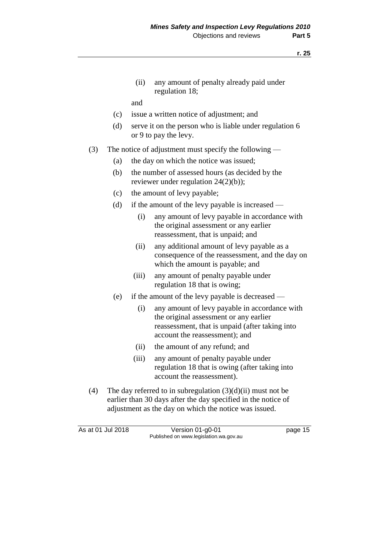**r. 25**

(ii) any amount of penalty already paid under regulation 18;

and

- (c) issue a written notice of adjustment; and
- (d) serve it on the person who is liable under regulation 6 or 9 to pay the levy.
- (3) The notice of adjustment must specify the following
	- (a) the day on which the notice was issued;
	- (b) the number of assessed hours (as decided by the reviewer under regulation 24(2)(b));
	- (c) the amount of levy payable;
	- (d) if the amount of the levy payable is increased
		- (i) any amount of levy payable in accordance with the original assessment or any earlier reassessment, that is unpaid; and
		- (ii) any additional amount of levy payable as a consequence of the reassessment, and the day on which the amount is payable; and
		- (iii) any amount of penalty payable under regulation 18 that is owing;
	- (e) if the amount of the levy payable is decreased
		- (i) any amount of levy payable in accordance with the original assessment or any earlier reassessment, that is unpaid (after taking into account the reassessment); and
		- (ii) the amount of any refund; and
		- (iii) any amount of penalty payable under regulation 18 that is owing (after taking into account the reassessment).
- (4) The day referred to in subregulation  $(3)(d)(ii)$  must not be earlier than 30 days after the day specified in the notice of adjustment as the day on which the notice was issued.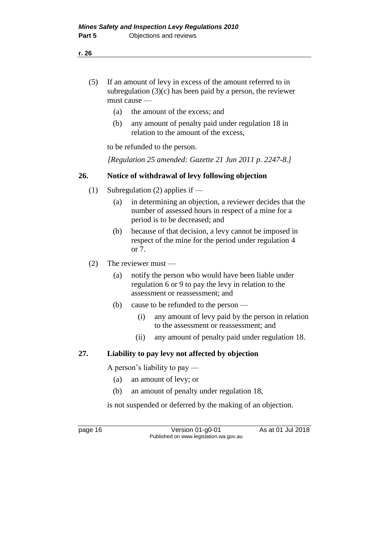- (5) If an amount of levy in excess of the amount referred to in subregulation  $(3)(c)$  has been paid by a person, the reviewer must cause —
	- (a) the amount of the excess; and
	- (b) any amount of penalty paid under regulation 18 in relation to the amount of the excess,

to be refunded to the person.

*[Regulation 25 amended: Gazette 21 Jun 2011 p. 2247-8.]*

### **26. Notice of withdrawal of levy following objection**

- (1) Subregulation (2) applies if  $-$ 
	- (a) in determining an objection, a reviewer decides that the number of assessed hours in respect of a mine for a period is to be decreased; and
	- (b) because of that decision, a levy cannot be imposed in respect of the mine for the period under regulation 4 or 7.
- (2) The reviewer must
	- (a) notify the person who would have been liable under regulation 6 or 9 to pay the levy in relation to the assessment or reassessment; and
	- (b) cause to be refunded to the person
		- (i) any amount of levy paid by the person in relation to the assessment or reassessment; and
		- (ii) any amount of penalty paid under regulation 18.

### **27. Liability to pay levy not affected by objection**

A person's liability to pay —

- (a) an amount of levy; or
- (b) an amount of penalty under regulation 18,

is not suspended or deferred by the making of an objection.

page 16 Version 01-g0-01 As at 01 Jul 2018 Published on www.legislation.wa.gov.au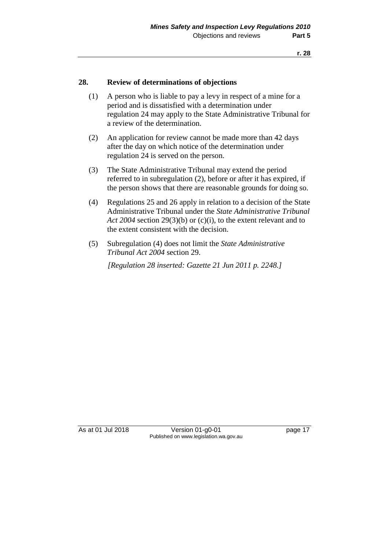#### **28. Review of determinations of objections**

- (1) A person who is liable to pay a levy in respect of a mine for a period and is dissatisfied with a determination under regulation 24 may apply to the State Administrative Tribunal for a review of the determination.
- (2) An application for review cannot be made more than 42 days after the day on which notice of the determination under regulation 24 is served on the person.
- (3) The State Administrative Tribunal may extend the period referred to in subregulation (2), before or after it has expired, if the person shows that there are reasonable grounds for doing so.
- (4) Regulations 25 and 26 apply in relation to a decision of the State Administrative Tribunal under the *State Administrative Tribunal Act 2004* section 29(3)(b) or (c)(i), to the extent relevant and to the extent consistent with the decision.
- (5) Subregulation (4) does not limit the *State Administrative Tribunal Act 2004* section 29.

*[Regulation 28 inserted: Gazette 21 Jun 2011 p. 2248.]*

As at 01 Jul 2018 Version 01-g0-01 Page 17 Published on www.legislation.wa.gov.au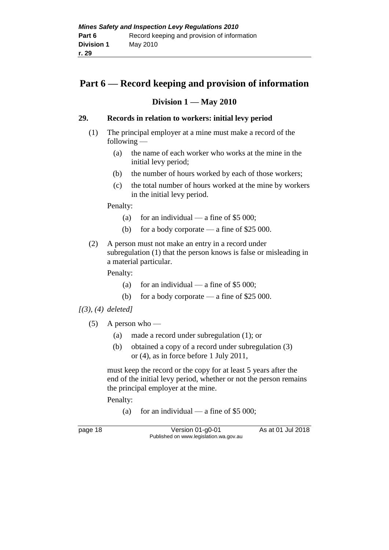## **Part 6 — Record keeping and provision of information**

## **Division 1 — May 2010**

### **29. Records in relation to workers: initial levy period**

- (1) The principal employer at a mine must make a record of the following —
	- (a) the name of each worker who works at the mine in the initial levy period;
	- (b) the number of hours worked by each of those workers;
	- (c) the total number of hours worked at the mine by workers in the initial levy period.

Penalty:

- (a) for an individual a fine of  $$5\,000$ ;
- (b) for a body corporate a fine of \$25 000.
- (2) A person must not make an entry in a record under subregulation (1) that the person knows is false or misleading in a material particular.

Penalty:

- (a) for an individual a fine of  $$5\,000$ ;
- (b) for a body corporate a fine of \$25 000.

*[(3), (4) deleted]*

- (5) A person who
	- (a) made a record under subregulation (1); or
	- (b) obtained a copy of a record under subregulation (3) or (4), as in force before 1 July 2011,

must keep the record or the copy for at least 5 years after the end of the initial levy period, whether or not the person remains the principal employer at the mine.

Penalty:

(a) for an individual — a fine of  $$5\,000$ ;

page 18 Version 01-g0-01 As at 01 Jul 2018 Published on www.legislation.wa.gov.au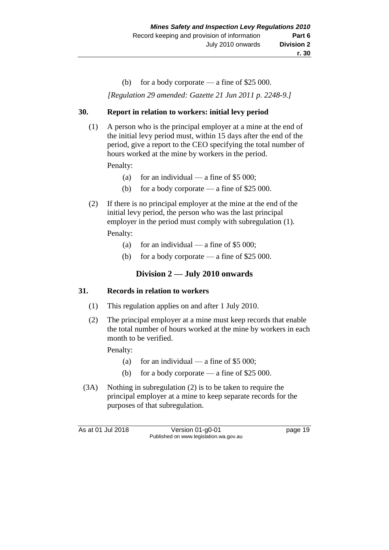(b) for a body corporate — a fine of \$25 000.

*[Regulation 29 amended: Gazette 21 Jun 2011 p. 2248-9.]*

#### **30. Report in relation to workers: initial levy period**

(1) A person who is the principal employer at a mine at the end of the initial levy period must, within 15 days after the end of the period, give a report to the CEO specifying the total number of hours worked at the mine by workers in the period.

Penalty:

- (a) for an individual a fine of \$5 000;
- (b) for a body corporate a fine of \$25 000.
- (2) If there is no principal employer at the mine at the end of the initial levy period, the person who was the last principal employer in the period must comply with subregulation (1).

Penalty:

- (a) for an individual a fine of  $$5\,000$ ;
- (b) for a body corporate a fine of \$25 000.

## **Division 2 — July 2010 onwards**

#### **31. Records in relation to workers**

- (1) This regulation applies on and after 1 July 2010.
- (2) The principal employer at a mine must keep records that enable the total number of hours worked at the mine by workers in each month to be verified.

Penalty:

- (a) for an individual a fine of  $$5\,000$ ;
- (b) for a body corporate a fine of \$25 000.
- (3A) Nothing in subregulation (2) is to be taken to require the principal employer at a mine to keep separate records for the purposes of that subregulation.

As at 01 Jul 2018 Version 01-g0-01 Page 19 Published on www.legislation.wa.gov.au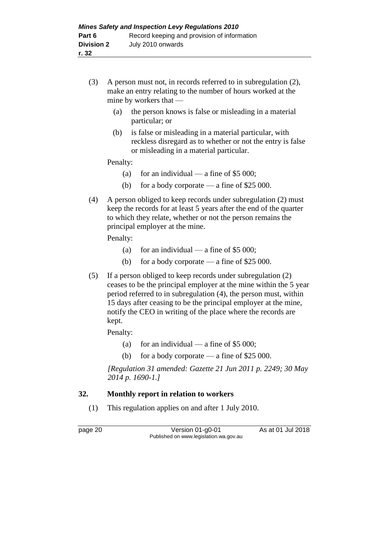- (3) A person must not, in records referred to in subregulation (2), make an entry relating to the number of hours worked at the mine by workers that —
	- (a) the person knows is false or misleading in a material particular; or
	- (b) is false or misleading in a material particular, with reckless disregard as to whether or not the entry is false or misleading in a material particular.

Penalty:

- (a) for an individual a fine of \$5 000;
- (b) for a body corporate a fine of \$25 000.
- (4) A person obliged to keep records under subregulation (2) must keep the records for at least 5 years after the end of the quarter to which they relate, whether or not the person remains the principal employer at the mine.

Penalty:

- (a) for an individual a fine of  $$5\,000$ ;
- (b) for a body corporate a fine of  $$25,000$ .
- (5) If a person obliged to keep records under subregulation (2) ceases to be the principal employer at the mine within the 5 year period referred to in subregulation (4), the person must, within 15 days after ceasing to be the principal employer at the mine, notify the CEO in writing of the place where the records are kept.

Penalty:

- (a) for an individual a fine of \$5 000;
- (b) for a body corporate a fine of \$25 000.

*[Regulation 31 amended: Gazette 21 Jun 2011 p. 2249; 30 May 2014 p. 1690-1.]*

### **32. Monthly report in relation to workers**

(1) This regulation applies on and after 1 July 2010.

page 20 Version 01-g0-01 As at 01 Jul 2018 Published on www.legislation.wa.gov.au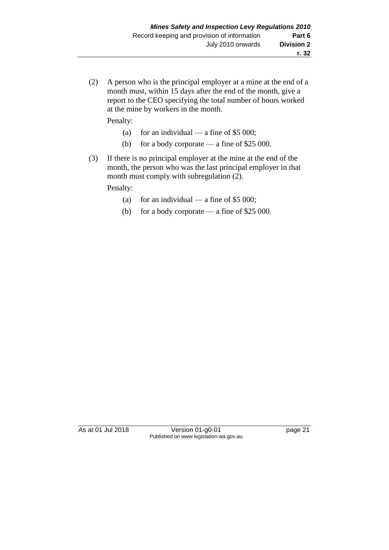(2) A person who is the principal employer at a mine at the end of a month must, within 15 days after the end of the month, give a report to the CEO specifying the total number of hours worked at the mine by workers in the month.

Penalty:

- (a) for an individual a fine of  $$5\,000$ ;
- (b) for a body corporate a fine of \$25 000.
- (3) If there is no principal employer at the mine at the end of the month, the person who was the last principal employer in that month must comply with subregulation (2).

Penalty:

- (a) for an individual a fine of  $$5\,000$ ;
- (b) for a body corporate a fine of \$25 000.

As at 01 Jul 2018 Version 01-g0-01 Page 21 Published on www.legislation.wa.gov.au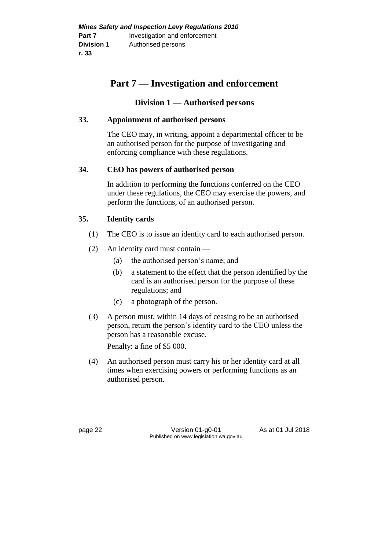## **Part 7 — Investigation and enforcement**

## **Division 1 — Authorised persons**

### **33. Appointment of authorised persons**

The CEO may, in writing, appoint a departmental officer to be an authorised person for the purpose of investigating and enforcing compliance with these regulations.

#### **34. CEO has powers of authorised person**

In addition to performing the functions conferred on the CEO under these regulations, the CEO may exercise the powers, and perform the functions, of an authorised person.

### **35. Identity cards**

- (1) The CEO is to issue an identity card to each authorised person.
- (2) An identity card must contain
	- (a) the authorised person's name; and
	- (b) a statement to the effect that the person identified by the card is an authorised person for the purpose of these regulations; and
	- (c) a photograph of the person.
- (3) A person must, within 14 days of ceasing to be an authorised person, return the person's identity card to the CEO unless the person has a reasonable excuse.

Penalty: a fine of \$5 000.

(4) An authorised person must carry his or her identity card at all times when exercising powers or performing functions as an authorised person.

page 22 Version 01-g0-01 As at 01 Jul 2018 Published on www.legislation.wa.gov.au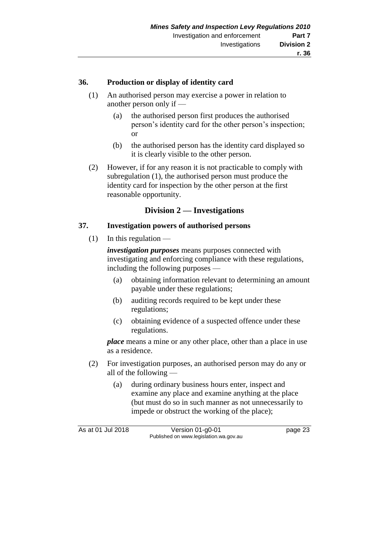#### **36. Production or display of identity card**

- (1) An authorised person may exercise a power in relation to another person only if —
	- (a) the authorised person first produces the authorised person's identity card for the other person's inspection; or
	- (b) the authorised person has the identity card displayed so it is clearly visible to the other person.
- (2) However, if for any reason it is not practicable to comply with subregulation (1), the authorised person must produce the identity card for inspection by the other person at the first reasonable opportunity.

#### **Division 2 — Investigations**

#### **37. Investigation powers of authorised persons**

 $(1)$  In this regulation —

*investigation purposes* means purposes connected with investigating and enforcing compliance with these regulations, including the following purposes —

- (a) obtaining information relevant to determining an amount payable under these regulations;
- (b) auditing records required to be kept under these regulations;
- (c) obtaining evidence of a suspected offence under these regulations.

*place* means a mine or any other place, other than a place in use as a residence.

- (2) For investigation purposes, an authorised person may do any or all of the following —
	- (a) during ordinary business hours enter, inspect and examine any place and examine anything at the place (but must do so in such manner as not unnecessarily to impede or obstruct the working of the place);

As at 01 Jul 2018 Version 01-g0-01 Page 23 Published on www.legislation.wa.gov.au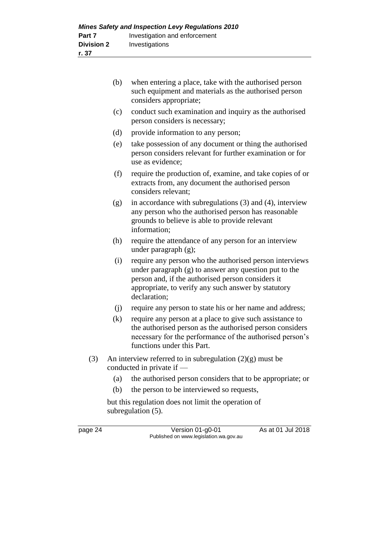| (b) | when entering a place, take with the authorised person<br>such equipment and materials as the authorised person<br>considers appropriate; |
|-----|-------------------------------------------------------------------------------------------------------------------------------------------|
|     |                                                                                                                                           |

- (c) conduct such examination and inquiry as the authorised person considers is necessary;
- (d) provide information to any person;
- (e) take possession of any document or thing the authorised person considers relevant for further examination or for use as evidence;
- (f) require the production of, examine, and take copies of or extracts from, any document the authorised person considers relevant;
- (g) in accordance with subregulations (3) and (4), interview any person who the authorised person has reasonable grounds to believe is able to provide relevant information;
- (h) require the attendance of any person for an interview under paragraph (g);
- (i) require any person who the authorised person interviews under paragraph (g) to answer any question put to the person and, if the authorised person considers it appropriate, to verify any such answer by statutory declaration;
- (j) require any person to state his or her name and address;
- (k) require any person at a place to give such assistance to the authorised person as the authorised person considers necessary for the performance of the authorised person's functions under this Part.
- (3) An interview referred to in subregulation  $(2)(g)$  must be conducted in private if —
	- (a) the authorised person considers that to be appropriate; or
	- (b) the person to be interviewed so requests,

but this regulation does not limit the operation of subregulation (5).

page 24 Version 01-g0-01 As at 01 Jul 2018 Published on www.legislation.wa.gov.au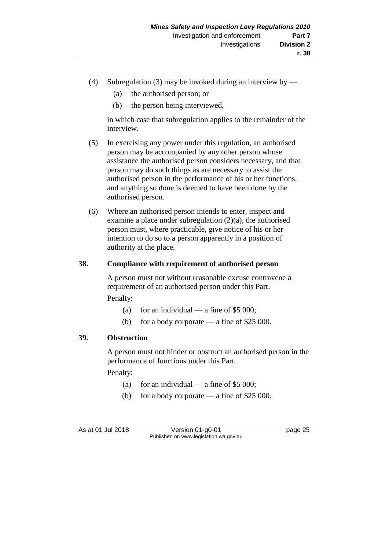- (4) Subregulation (3) may be invoked during an interview by
	- (a) the authorised person; or
	- (b) the person being interviewed,

in which case that subregulation applies to the remainder of the interview.

- (5) In exercising any power under this regulation, an authorised person may be accompanied by any other person whose assistance the authorised person considers necessary, and that person may do such things as are necessary to assist the authorised person in the performance of his or her functions, and anything so done is deemed to have been done by the authorised person.
- (6) Where an authorised person intends to enter, inspect and examine a place under subregulation (2)(a), the authorised person must, where practicable, give notice of his or her intention to do so to a person apparently in a position of authority at the place.

#### **38. Compliance with requirement of authorised person**

A person must not without reasonable excuse contravene a requirement of an authorised person under this Part. Penalty:

- (a) for an individual a fine of \$5 000;
- (b) for a body corporate a fine of \$25 000.

#### **39. Obstruction**

A person must not hinder or obstruct an authorised person in the performance of functions under this Part.

Penalty:

- (a) for an individual a fine of  $$5\,000$ ;
- (b) for a body corporate a fine of \$25 000.

As at 01 Jul 2018 Version 01-g0-01 Page 25 Published on www.legislation.wa.gov.au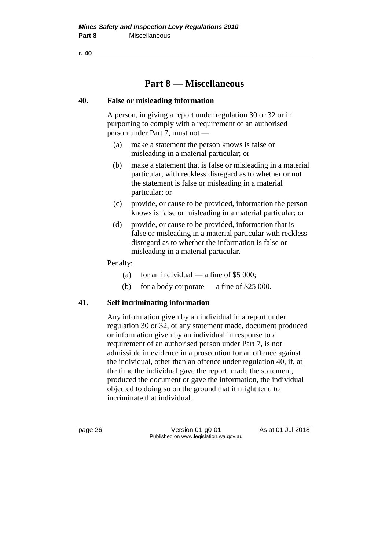**r. 40**

## **Part 8 — Miscellaneous**

#### **40. False or misleading information**

A person, in giving a report under regulation 30 or 32 or in purporting to comply with a requirement of an authorised person under Part 7, must not —

- (a) make a statement the person knows is false or misleading in a material particular; or
- (b) make a statement that is false or misleading in a material particular, with reckless disregard as to whether or not the statement is false or misleading in a material particular; or
- (c) provide, or cause to be provided, information the person knows is false or misleading in a material particular; or
- (d) provide, or cause to be provided, information that is false or misleading in a material particular with reckless disregard as to whether the information is false or misleading in a material particular.

#### Penalty:

- (a) for an individual a fine of  $$5\,000$ ;
- (b) for a body corporate a fine of \$25 000.

### **41. Self incriminating information**

Any information given by an individual in a report under regulation 30 or 32, or any statement made, document produced or information given by an individual in response to a requirement of an authorised person under Part 7, is not admissible in evidence in a prosecution for an offence against the individual, other than an offence under regulation 40, if, at the time the individual gave the report, made the statement, produced the document or gave the information, the individual objected to doing so on the ground that it might tend to incriminate that individual.

page 26 Version 01-g0-01 As at 01 Jul 2018 Published on www.legislation.wa.gov.au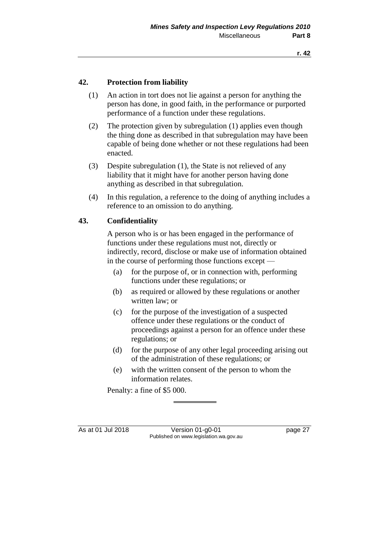#### **42. Protection from liability**

- (1) An action in tort does not lie against a person for anything the person has done, in good faith, in the performance or purported performance of a function under these regulations.
- (2) The protection given by subregulation (1) applies even though the thing done as described in that subregulation may have been capable of being done whether or not these regulations had been enacted.
- (3) Despite subregulation (1), the State is not relieved of any liability that it might have for another person having done anything as described in that subregulation.
- (4) In this regulation, a reference to the doing of anything includes a reference to an omission to do anything.

#### **43. Confidentiality**

A person who is or has been engaged in the performance of functions under these regulations must not, directly or indirectly, record, disclose or make use of information obtained in the course of performing those functions except —

- (a) for the purpose of, or in connection with, performing functions under these regulations; or
- (b) as required or allowed by these regulations or another written law; or
- (c) for the purpose of the investigation of a suspected offence under these regulations or the conduct of proceedings against a person for an offence under these regulations; or
- (d) for the purpose of any other legal proceeding arising out of the administration of these regulations; or
- (e) with the written consent of the person to whom the information relates.

Penalty: a fine of \$5 000.

As at 01 Jul 2018 Version 01-g0-01 Page 27 Published on www.legislation.wa.gov.au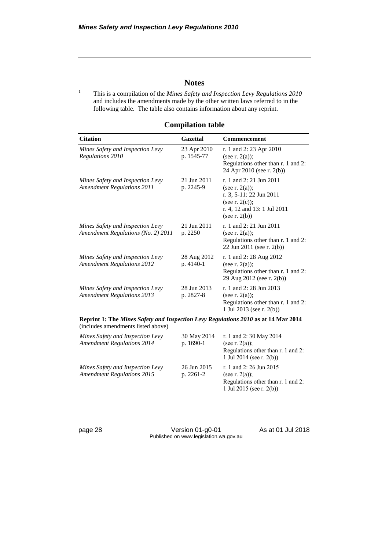#### **Notes**

<sup>1</sup> This is a compilation of the *Mines Safety and Inspection Levy Regulations 2010* and includes the amendments made by the other written laws referred to in the following table. The table also contains information about any reprint.

| <b>Citation</b>                                                                                                          | <b>Gazettal</b>           | Commencement                                                                                                                                    |
|--------------------------------------------------------------------------------------------------------------------------|---------------------------|-------------------------------------------------------------------------------------------------------------------------------------------------|
| Mines Safety and Inspection Levy<br>Regulations 2010                                                                     | 23 Apr 2010<br>p. 1545-77 | r. 1 and 2: 23 Apr 2010<br>(see r. $2(a)$ );<br>Regulations other than r. 1 and 2:<br>24 Apr 2010 (see r. 2(b))                                 |
| Mines Safety and Inspection Levy<br><b>Amendment Regulations 2011</b>                                                    | 21 Jun 2011<br>p. 2245-9  | r. 1 and 2: 21 Jun 2011<br>(see r. $2(a)$ );<br>r. 3, 5-11: 22 Jun 2011<br>(see r. $2(c)$ );<br>r. 4, 12 and 13: 1 Jul 2011<br>(see r. $2(b)$ ) |
| Mines Safety and Inspection Levy<br>Amendment Regulations (No. 2) 2011                                                   | 21 Jun 2011<br>p. 2250    | r. 1 and 2: 21 Jun 2011<br>(see r. $2(a)$ );<br>Regulations other than r. 1 and 2:<br>22 Jun 2011 (see r. 2(b))                                 |
| Mines Safety and Inspection Levy<br><b>Amendment Regulations 2012</b>                                                    | 28 Aug 2012<br>p. 4140-1  | r. 1 and 2:28 Aug 2012<br>(see r. $2(a)$ );<br>Regulations other than r. 1 and 2:<br>29 Aug 2012 (see r. 2(b))                                  |
| Mines Safety and Inspection Levy<br><b>Amendment Regulations 2013</b>                                                    | 28 Jun 2013<br>p. 2827-8  | r. 1 and 2: 28 Jun 2013<br>(see r. $2(a)$ );<br>Regulations other than r. 1 and 2:<br>1 Jul 2013 (see r. 2(b))                                  |
| Reprint 1: The Mines Safety and Inspection Levy Regulations 2010 as at 14 Mar 2014<br>(includes amendments listed above) |                           |                                                                                                                                                 |
| Mines Safety and Inspection Levy<br><b>Amendment Regulations 2014</b>                                                    | 30 May 2014<br>p. 1690-1  | r. 1 and 2:30 May 2014<br>(see r. $2(a)$ );<br>Regulations other than r. 1 and 2:                                                               |

#### **Compilation table**

*Mines Safety and Inspection Levy Amendment Regulations 2015*

page 28 Version 01-g0-01 As at 01 Jul 2018 Published on www.legislation.wa.gov.au

26 Jun 2015 p. 2261-2

1 Jul 2014 (see r. 2(b))

r. 1 and 2: 26 Jun 2015

1 Jul 2015 (see r. 2(b))

Regulations other than r. 1 and 2:

(see r. 2(a));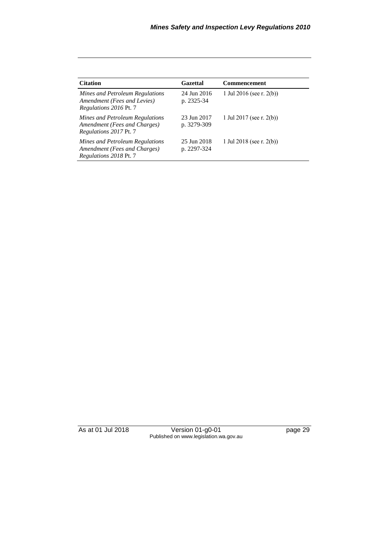| <b>Citation</b>                                                                                  | Gazettal                   | Commencement             |
|--------------------------------------------------------------------------------------------------|----------------------------|--------------------------|
| Mines and Petroleum Regulations<br>Amendment (Fees and Levies)<br>Regulations 2016 Pt. 7         | 24 Jun 2016<br>p. 2325-34  | 1 Jul 2016 (see r. 2(b)) |
| Mines and Petroleum Regulations<br>Amendment (Fees and Charges)<br><i>Regulations 2017 Pt. 7</i> | 23 Jun 2017<br>p. 3279-309 | 1 Jul 2017 (see r. 2(b)) |
| Mines and Petroleum Regulations<br>Amendment (Fees and Charges)<br><i>Regulations 2018 Pt. 7</i> | 25 Jun 2018<br>p. 2297-324 | 1 Jul 2018 (see r. 2(b)) |

| As at 01 Jul 2018 | Version 01-g0-01                       | page 29 |
|-------------------|----------------------------------------|---------|
|                   | Published on www.legislation.wa.gov.au |         |